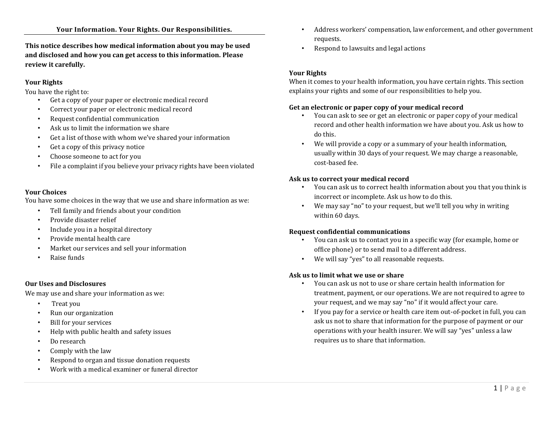**This notice describes how medical information about you may be used and disclosed and how you can get access to this information. Please review it carefully.**

## **Your Rights**

You have the right to:

- Get a copy of your paper or electronic medical record
- Correct your paper or electronic medical record
- Request confidential communication
- Ask us to limit the information we share
- Get a list of those with whom we've shared your information
- Get a copy of this privacy notice
- Choose someone to act for you
- File a complaint if you believe your privacy rights have been violated

#### **Your Choices**

You have some choices in the way that we use and share information as we:

- Tell family and friends about your condition
- Provide disaster relief
- Include you in a hospital directory
- Provide mental health care
- Market our services and sell your information
- Raise funds

## **Our Uses and Disclosures**

We may use and share your information as we:

- Treat you
- Run our organization
- Bill for your services
- Help with public health and safety issues
- Do research
- Comply with the law
- Respond to organ and tissue donation requests
- Work with a medical examiner or funeral director
- Address workers' compensation, law enforcement, and other government requests.
- Respond to lawsuits and legal actions

# **Your Rights**

When it comes to your health information, you have certain rights. This section explains your rights and some of our responsibilities to help you.

## **Get an electronic or paper copy of your medical record**

- You can ask to see or get an electronic or paper copy of your medical record and other health information we have about you. Ask us how to do this.
- We will provide a copy or a summary of your health information, usually within 30 days of your request. We may charge a reasonable, cost-based fee.

# **Ask us to correct your medical record**

- You can ask us to correct health information about you that you think is incorrect or incomplete. Ask us how to do this.
- We may say "no" to your request, but we'll tell you why in writing within 60 days.

## **Request confidential communications**

- You can ask us to contact you in a specific way (for example, home or office phone) or to send mail to a different address.
- We will say "yes" to all reasonable requests.

## **Ask us to limit what we use or share**

- You can ask us not to use or share certain health information for treatment, payment, or our operations. We are not required to agree to your request, and we may say "no" if it would affect your care.
- If you pay for a service or health care item out-of-pocket in full, you can ask us not to share that information for the purpose of payment or our operations with your health insurer. We will say "yes" unless a law requires us to share that information.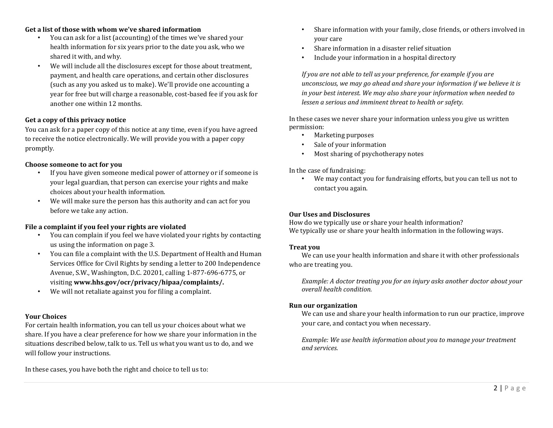#### **Get a list of those with whom we've shared information**

- You can ask for a list (accounting) of the times we've shared your health information for six years prior to the date you ask, who we shared it with, and why.
- We will include all the disclosures except for those about treatment, payment, and health care operations, and certain other disclosures (such as any you asked us to make). We'll provide one accounting a year for free but will charge a reasonable, cost-based fee if you ask for another one within 12 months.

# **Get a copy of this privacy notice**

You can ask for a paper copy of this notice at any time, even if you have agreed to receive the notice electronically. We will provide you with a paper copy promptly.

## **Choose someone to act for you**

- If you have given someone medical power of attorney or if someone is your legal guardian, that person can exercise your rights and make choices about your health information.
- We will make sure the person has this authority and can act for you before we take any action.

# **File a complaint if you feel your rights are violated**

- You can complain if you feel we have violated your rights by contacting us using the information on page 3.
- You can file a complaint with the U.S. Department of Health and Human Services Office for Civil Rights by sending a letter to 200 Independence Avenue, S.W., Washington, D.C. 20201, calling 1-877-696-6775, or visiting **www.hhs.gov/ocr/privacy/hipaa/complaints/.**
- We will not retaliate against you for filing a complaint.

## **Your Choices**

For certain health information, you can tell us your choices about what we share. If you have a clear preference for how we share your information in the situations described below, talk to us. Tell us what you want us to do, and we will follow your instructions.

In these cases, you have both the right and choice to tell us to:

- Share information with your family, close friends, or others involved in your care
- Share information in a disaster relief situation
- Include your information in a hospital directory

*If you are not able to tell us your preference, for example if you are unconscious, we may go ahead and share your information if we believe it is in your best interest. We may also share your information when needed to lessen a serious and imminent threat to health or safety.*

In these cases we never share your information unless you give us written permission:

- Marketing purposes
- Sale of your information
- Most sharing of psychotherapy notes

In the case of fundraising:

• We may contact you for fundraising efforts, but you can tell us not to contact you again.

## **Our Uses and Disclosures**

How do we typically use or share your health information? We typically use or share your health information in the following ways.

## **Treat you**

We can use your health information and share it with other professionals who are treating you.

*Example: A doctor treating you for an injury asks another doctor about your overall health condition.*

## **Run our organization**

We can use and share your health information to run our practice, improve your care, and contact you when necessary.

*Example: We use health information about you to manage your treatment and services.*